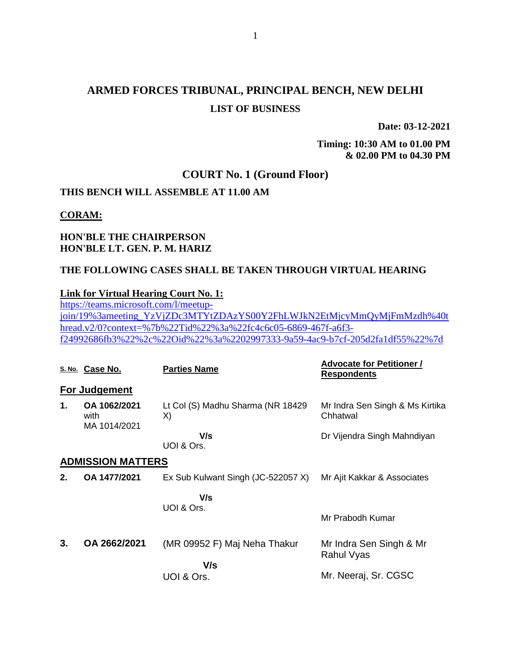# **ARMED FORCES TRIBUNAL, PRINCIPAL BENCH, NEW DELHI LIST OF BUSINESS**

**Date: 03-12-2021**

**Timing: 10:30 AM to 01.00 PM & 02.00 PM to 04.30 PM**

### **COURT No. 1 (Ground Floor)**

#### **THIS BENCH WILL ASSEMBLE AT 11.00 AM**

#### **CORAM:**

### **HON'BLE THE CHAIRPERSON HON'BLE LT. GEN. P. M. HARIZ**

#### **THE FOLLOWING CASES SHALL BE TAKEN THROUGH VIRTUAL HEARING**

#### **Link for Virtual Hearing Court No. 1:**

[https://teams.microsoft.com/l/meetup](https://teams.microsoft.com/l/meetup-join/19%3ameeting_YzVjZDc3MTYtZDAzYS00Y2FhLWJkN2EtMjcyMmQyMjFmMzdh%40thread.v2/0?context=%7b%22Tid%22%3a%22fc4c6c05-6869-467f-a6f3-f24992686fb3%22%2c%22Oid%22%3a%2202997333-9a59-4ac9-b7cf-205d2fa1df55%22%7d)[join/19%3ameeting\\_YzVjZDc3MTYtZDAzYS00Y2FhLWJkN2EtMjcyMmQyMjFmMzdh%40t](https://teams.microsoft.com/l/meetup-join/19%3ameeting_YzVjZDc3MTYtZDAzYS00Y2FhLWJkN2EtMjcyMmQyMjFmMzdh%40thread.v2/0?context=%7b%22Tid%22%3a%22fc4c6c05-6869-467f-a6f3-f24992686fb3%22%2c%22Oid%22%3a%2202997333-9a59-4ac9-b7cf-205d2fa1df55%22%7d) [hread.v2/0?context=%7b%22Tid%22%3a%22fc4c6c05-6869-467f-a6f3](https://teams.microsoft.com/l/meetup-join/19%3ameeting_YzVjZDc3MTYtZDAzYS00Y2FhLWJkN2EtMjcyMmQyMjFmMzdh%40thread.v2/0?context=%7b%22Tid%22%3a%22fc4c6c05-6869-467f-a6f3-f24992686fb3%22%2c%22Oid%22%3a%2202997333-9a59-4ac9-b7cf-205d2fa1df55%22%7d) [f24992686fb3%22%2c%22Oid%22%3a%2202997333-9a59-4ac9-b7cf-205d2fa1df55%22%7d](https://teams.microsoft.com/l/meetup-join/19%3ameeting_YzVjZDc3MTYtZDAzYS00Y2FhLWJkN2EtMjcyMmQyMjFmMzdh%40thread.v2/0?context=%7b%22Tid%22%3a%22fc4c6c05-6869-467f-a6f3-f24992686fb3%22%2c%22Oid%22%3a%2202997333-9a59-4ac9-b7cf-205d2fa1df55%22%7d)

|    | S. No. Case No.                      | <b>Parties Name</b>                     | <b>Advocate for Petitioner /</b><br><b>Respondents</b> |
|----|--------------------------------------|-----------------------------------------|--------------------------------------------------------|
|    | <b>For Judgement</b>                 |                                         |                                                        |
| 1. | OA 1062/2021<br>with<br>MA 1014/2021 | Lt Col (S) Madhu Sharma (NR 18429<br>X) | Mr Indra Sen Singh & Ms Kirtika<br>Chhatwal            |
|    |                                      | V/s<br>UOI & Ors.                       | Dr Vijendra Singh Mahndiyan                            |
|    | <b>ADMISSION MATTERS</b>             |                                         |                                                        |
| 2. | OA 1477/2021                         | Ex Sub Kulwant Singh (JC-522057 X)      | Mr Ajit Kakkar & Associates                            |
|    |                                      | V/s<br>UOI & Ors.                       |                                                        |
|    |                                      |                                         | Mr Prabodh Kumar                                       |
| 3. | OA 2662/2021                         | (MR 09952 F) Maj Neha Thakur<br>V/s     | Mr Indra Sen Singh & Mr<br>Rahul Vyas                  |
|    |                                      | UOI & Ors.                              | Mr. Neeraj, Sr. CGSC                                   |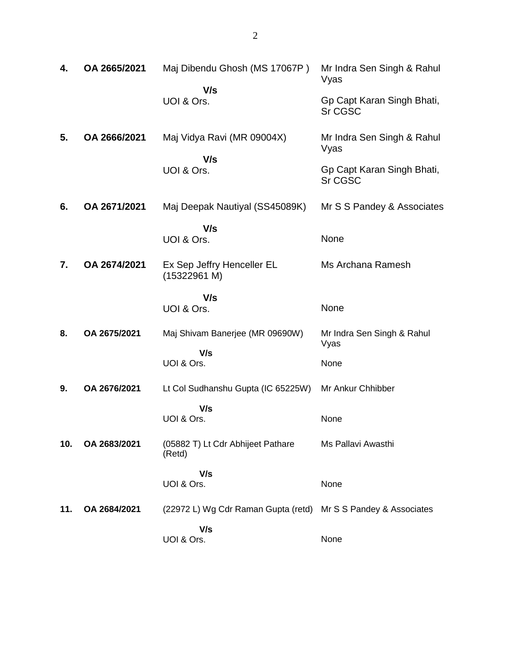| 4.  | OA 2665/2021 | Maj Dibendu Ghosh (MS 17067P)               | Mr Indra Sen Singh & Rahul<br>Vyas    |
|-----|--------------|---------------------------------------------|---------------------------------------|
|     |              | V/s<br>UOI & Ors.                           | Gp Capt Karan Singh Bhati,<br>Sr CGSC |
| 5.  | OA 2666/2021 | Maj Vidya Ravi (MR 09004X)<br>V/s           | Mr Indra Sen Singh & Rahul<br>Vyas    |
|     |              | UOI & Ors.                                  | Gp Capt Karan Singh Bhati,<br>Sr CGSC |
| 6.  | OA 2671/2021 | Maj Deepak Nautiyal (SS45089K)              | Mr S S Pandey & Associates            |
|     |              | V/s<br>UOI & Ors.                           | None                                  |
| 7.  | OA 2674/2021 | Ex Sep Jeffry Henceller EL<br>(15322961 M)  | Ms Archana Ramesh                     |
|     |              | V/s<br>UOI & Ors.                           | None                                  |
| 8.  | OA 2675/2021 | Maj Shivam Banerjee (MR 09690W)             | Mr Indra Sen Singh & Rahul<br>Vyas    |
|     |              | V/s<br>UOI & Ors.                           | None                                  |
| 9.  | OA 2676/2021 | Lt Col Sudhanshu Gupta (IC 65225W)          | Mr Ankur Chhibber                     |
|     |              | V/s<br>UOI & Ors.                           | None                                  |
| 10. | OA 2683/2021 | (05882 T) Lt Cdr Abhijeet Pathare<br>(Retd) | Ms Pallavi Awasthi                    |
|     |              | V/s<br>UOI & Ors.                           | None                                  |
| 11. | OA 2684/2021 | (22972 L) Wg Cdr Raman Gupta (retd)         | Mr S S Pandey & Associates            |
|     |              | V/s<br>UOI & Ors.                           | None                                  |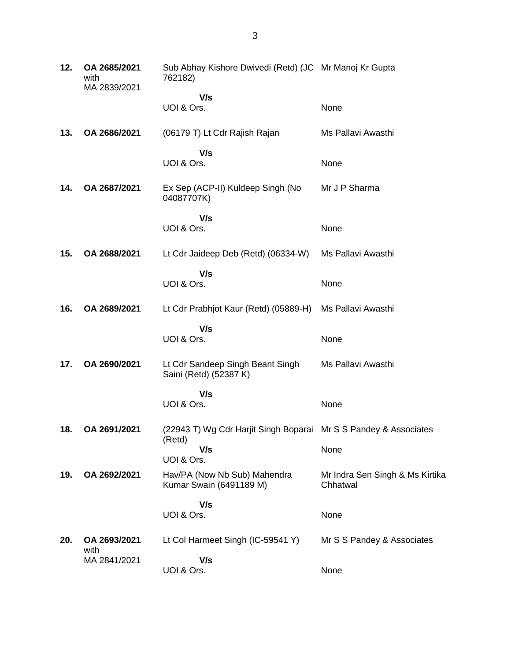| 12. | OA 2685/2021<br>with<br>MA 2839/2021 | Sub Abhay Kishore Dwivedi (Retd) (JC Mr Manoj Kr Gupta<br>762182)          |                                             |
|-----|--------------------------------------|----------------------------------------------------------------------------|---------------------------------------------|
|     |                                      | V/s                                                                        |                                             |
|     |                                      | UOI & Ors.                                                                 | None                                        |
| 13. | OA 2686/2021                         | (06179 T) Lt Cdr Rajish Rajan                                              | Ms Pallavi Awasthi                          |
|     |                                      | V/s                                                                        |                                             |
|     |                                      | UOI & Ors.                                                                 | None                                        |
| 14. | OA 2687/2021                         | Ex Sep (ACP-II) Kuldeep Singh (No<br>04087707K)                            | Mr J P Sharma                               |
|     |                                      | V/s                                                                        |                                             |
|     |                                      | UOI & Ors.                                                                 | None                                        |
| 15. | OA 2688/2021                         | Lt Cdr Jaideep Deb (Retd) (06334-W)                                        | Ms Pallavi Awasthi                          |
|     |                                      | V/s                                                                        |                                             |
|     |                                      | UOI & Ors.                                                                 | None                                        |
| 16. | OA 2689/2021                         | Lt Cdr Prabhjot Kaur (Retd) (05889-H)                                      | Ms Pallavi Awasthi                          |
|     |                                      | V/s                                                                        |                                             |
|     |                                      | UOI & Ors.                                                                 | None                                        |
| 17. | OA 2690/2021                         | Lt Cdr Sandeep Singh Beant Singh<br>Saini (Retd) (52387 K)                 | Ms Pallavi Awasthi                          |
|     |                                      | V/s                                                                        |                                             |
|     |                                      | UOI & Ors.                                                                 | None                                        |
| 18. | OA 2691/2021                         | (22943 T) Wg Cdr Harjit Singh Boparai Mr S S Pandey & Associates<br>(Retd) |                                             |
|     |                                      | V/s                                                                        | None                                        |
|     |                                      | UOI & Ors.                                                                 |                                             |
| 19. | OA 2692/2021                         | Hav/PA (Now Nb Sub) Mahendra<br>Kumar Swain (6491189 M)                    | Mr Indra Sen Singh & Ms Kirtika<br>Chhatwal |
|     |                                      | V/s                                                                        |                                             |
|     |                                      | UOI & Ors.                                                                 | None                                        |
| 20. | OA 2693/2021                         | Lt Col Harmeet Singh (IC-59541 Y)                                          | Mr S S Pandey & Associates                  |
|     | with<br>MA 2841/2021                 | V/s                                                                        |                                             |
|     |                                      | UOI & Ors.                                                                 | None                                        |
|     |                                      |                                                                            |                                             |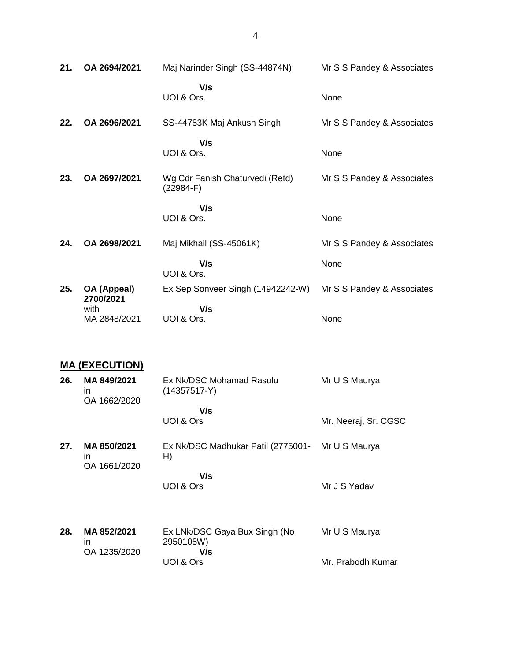| 21. | OA 2694/2021             | Maj Narinder Singh (SS-44874N)                 | Mr S S Pandey & Associates |
|-----|--------------------------|------------------------------------------------|----------------------------|
|     |                          | V/s<br>UOI & Ors.                              | None                       |
| 22. | OA 2696/2021             | SS-44783K Maj Ankush Singh                     | Mr S S Pandey & Associates |
|     |                          | V/s<br>UOI & Ors.                              | None                       |
| 23. | OA 2697/2021             | Wg Cdr Fanish Chaturvedi (Retd)<br>$(22984-F)$ | Mr S S Pandey & Associates |
|     |                          | V/s<br>UOI & Ors.                              | None                       |
| 24. | OA 2698/2021             | Maj Mikhail (SS-45061K)                        | Mr S S Pandey & Associates |
|     |                          | V/s<br>UOI & Ors.                              | None                       |
| 25. | OA (Appeal)<br>2700/2021 | Ex Sep Sonveer Singh (14942242-W)              | Mr S S Pandey & Associates |
|     | with<br>MA 2848/2021     | V/s<br>UOI & Ors.                              | None                       |

# **MA (EXECUTION)**

| 26. | MA 849/2021<br>in.<br>OA 1662/2020          | Ex Nk/DSC Mohamad Rasulu<br>$(14357517-Y)$        | Mr U S Maurya        |
|-----|---------------------------------------------|---------------------------------------------------|----------------------|
|     |                                             | V/s<br>UOI & Ors                                  | Mr. Neeraj, Sr. CGSC |
| 27. | MA 850/2021<br>$\mathsf{I}$<br>OA 1661/2020 | Ex Nk/DSC Madhukar Patil (2775001-<br>H)          | Mr U S Maurya        |
|     |                                             | V/s<br>UOI & Ors                                  | Mr J S Yadav         |
| 28. | MA 852/2021<br>in.<br>OA 1235/2020          | Ex LNk/DSC Gaya Bux Singh (No<br>2950108W)<br>V/s | Mr U S Maurya        |
|     |                                             | UOI & Ors                                         | Mr. Prabodh Kumar    |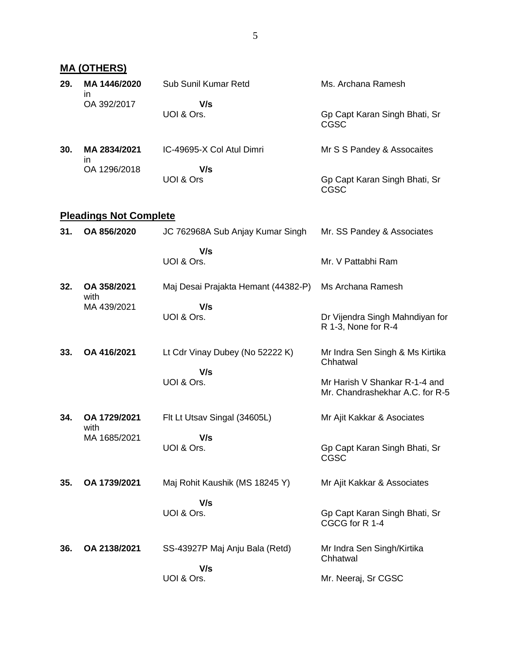|     | <b>MA (OTHERS)</b>            |                                     |                                                                  |
|-----|-------------------------------|-------------------------------------|------------------------------------------------------------------|
| 29. | MA 1446/2020<br>in.           | Sub Sunil Kumar Retd                | Ms. Archana Ramesh                                               |
|     | OA 392/2017                   | V/s<br>UOI & Ors.                   | Gp Capt Karan Singh Bhati, Sr<br><b>CGSC</b>                     |
| 30. | MA 2834/2021                  | IC-49695-X Col Atul Dimri           | Mr S S Pandey & Assocaites                                       |
|     | ın<br>OA 1296/2018            | V/s<br>UOI & Ors                    | Gp Capt Karan Singh Bhati, Sr<br><b>CGSC</b>                     |
|     | <b>Pleadings Not Complete</b> |                                     |                                                                  |
| 31. | OA 856/2020                   | JC 762968A Sub Anjay Kumar Singh    | Mr. SS Pandey & Associates                                       |
|     |                               | V/s<br>UOI & Ors.                   | Mr. V Pattabhi Ram                                               |
| 32. | OA 358/2021                   | Maj Desai Prajakta Hemant (44382-P) | Ms Archana Ramesh                                                |
|     | with<br>MA 439/2021           | V/s<br>UOI & Ors.                   | Dr Vijendra Singh Mahndiyan for<br>R 1-3, None for R-4           |
| 33. | OA 416/2021                   | Lt Cdr Vinay Dubey (No 52222 K)     | Mr Indra Sen Singh & Ms Kirtika<br>Chhatwal                      |
|     |                               | V/s<br>UOI & Ors.                   | Mr Harish V Shankar R-1-4 and<br>Mr. Chandrashekhar A.C. for R-5 |
| 34. | OA 1729/2021                  | Flt Lt Utsav Singal (34605L)        | Mr Ajit Kakkar & Asociates                                       |
|     | with<br>MA 1685/2021          | V/s<br>UOI & Ors.                   | Gp Capt Karan Singh Bhati, Sr<br>CGSC                            |
| 35. | OA 1739/2021                  | Maj Rohit Kaushik (MS 18245 Y)      | Mr Ajit Kakkar & Associates                                      |
|     |                               | V/s<br>UOI & Ors.                   | Gp Capt Karan Singh Bhati, Sr<br>CGCG for R 1-4                  |
| 36. | OA 2138/2021                  | SS-43927P Maj Anju Bala (Retd)      | Mr Indra Sen Singh/Kirtika<br>Chhatwal                           |
|     |                               | V/s<br>UOI & Ors.                   | Mr. Neeraj, Sr CGSC                                              |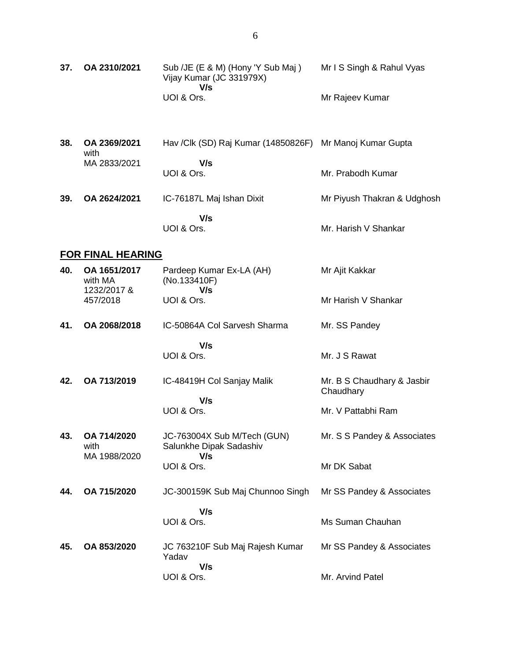| 37. | OA 2310/2021                           | Sub /JE (E & M) (Hony 'Y Sub Maj)<br>Vijay Kumar (JC 331979X)<br>V/s | Mr I S Singh & Rahul Vyas               |
|-----|----------------------------------------|----------------------------------------------------------------------|-----------------------------------------|
|     |                                        | UOI & Ors.                                                           | Mr Rajeev Kumar                         |
| 38. | OA 2369/2021<br>with                   | Hav /Clk (SD) Raj Kumar (14850826F) Mr Manoj Kumar Gupta             |                                         |
|     | MA 2833/2021                           | V/s<br>UOI & Ors.                                                    | Mr. Prabodh Kumar                       |
| 39. | OA 2624/2021                           | IC-76187L Maj Ishan Dixit                                            | Mr Piyush Thakran & Udghosh             |
|     |                                        | V/s<br>UOI & Ors.                                                    | Mr. Harish V Shankar                    |
|     | <b>FOR FINAL HEARING</b>               |                                                                      |                                         |
| 40. | OA 1651/2017<br>with MA<br>1232/2017 & | Pardeep Kumar Ex-LA (AH)<br>(No.133410F)<br>V/s                      | Mr Ajit Kakkar                          |
|     | 457/2018                               | UOI & Ors.                                                           | Mr Harish V Shankar                     |
| 41. | OA 2068/2018                           | IC-50864A Col Sarvesh Sharma                                         | Mr. SS Pandey                           |
|     |                                        | V/s<br>UOI & Ors.                                                    | Mr. J S Rawat                           |
| 42. | OA 713/2019                            | IC-48419H Col Sanjay Malik                                           | Mr. B S Chaudhary & Jasbir<br>Chaudhary |
|     |                                        | V/s<br>UOI & Ors.                                                    | Mr. V Pattabhi Ram                      |
| 43. | OA 714/2020<br>with                    | JC-763004X Sub M/Tech (GUN)<br>Salunkhe Dipak Sadashiv               | Mr. S S Pandey & Associates             |
|     | MA 1988/2020                           | V/s<br>UOI & Ors.                                                    | Mr DK Sabat                             |
| 44. | OA 715/2020                            | JC-300159K Sub Maj Chunnoo Singh                                     | Mr SS Pandey & Associates               |
|     |                                        | V/s<br>UOI & Ors.                                                    | Ms Suman Chauhan                        |
| 45. | OA 853/2020                            | JC 763210F Sub Maj Rajesh Kumar<br>Yadav                             | Mr SS Pandey & Associates               |
|     |                                        | V/s<br>UOI & Ors.                                                    | Mr. Arvind Patel                        |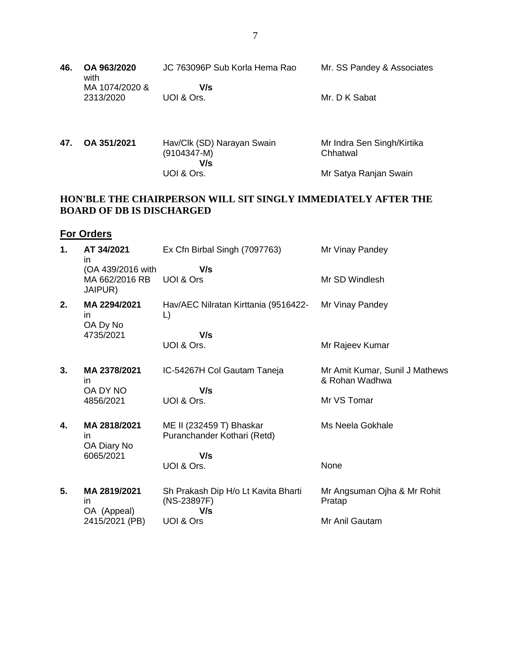| 46. | OA 963/2020<br>with         | JC 763096P Sub Korla Hema Rao | Mr. SS Pandey & Associates |
|-----|-----------------------------|-------------------------------|----------------------------|
|     | MA 1074/2020 &<br>2313/2020 | V/s<br>UOI & Ors.             | Mr. D K Sabat              |

**47. OA 351/2021** Hav/Clk (SD) Narayan Swain  $(9104347 - M)$  **V/s** UOI & Ors. Mr Indra Sen Singh/Kirtika Chhatwal Mr Satya Ranjan Swain

## **HON'BLE THE CHAIRPERSON WILL SIT SINGLY IMMEDIATELY AFTER THE BOARD OF DB IS DISCHARGED**

## **For Orders**

| 1. | AT 34/2021<br>in<br>(OA 439/2016 with | Ex Cfn Birbal Singh (7097763)<br>V/s                      | Mr Vinay Pandey                                  |
|----|---------------------------------------|-----------------------------------------------------------|--------------------------------------------------|
|    | MA 662/2016 RB<br>JAIPUR)             | UOI & Ors                                                 | Mr SD Windlesh                                   |
| 2. | MA 2294/2021<br>in.<br>OA Dy No       | Hav/AEC Nilratan Kirttania (9516422-<br>$\mathsf{L}$      | Mr Vinay Pandey                                  |
|    | 4735/2021                             | V/s                                                       |                                                  |
|    |                                       | UOI & Ors.                                                | Mr Rajeev Kumar                                  |
| 3. | MA 2378/2021<br>in.                   | IC-54267H Col Gautam Taneja                               | Mr Amit Kumar, Sunil J Mathews<br>& Rohan Wadhwa |
|    | OA DY NO<br>4856/2021                 | V/s<br>UOI & Ors.                                         | Mr VS Tomar                                      |
| 4. | MA 2818/2021<br>in.<br>OA Diary No    | ME II (232459 T) Bhaskar<br>Puranchander Kothari (Retd)   | Ms Neela Gokhale                                 |
|    | 6065/2021                             | V/s                                                       |                                                  |
|    |                                       | UOI & Ors.                                                | None                                             |
| 5. | MA 2819/2021<br>in<br>OA (Appeal)     | Sh Prakash Dip H/o Lt Kavita Bharti<br>(NS-23897F)<br>V/s | Mr Angsuman Ojha & Mr Rohit<br>Pratap            |
|    | 2415/2021 (PB)                        | UOI & Ors                                                 | Mr Anil Gautam                                   |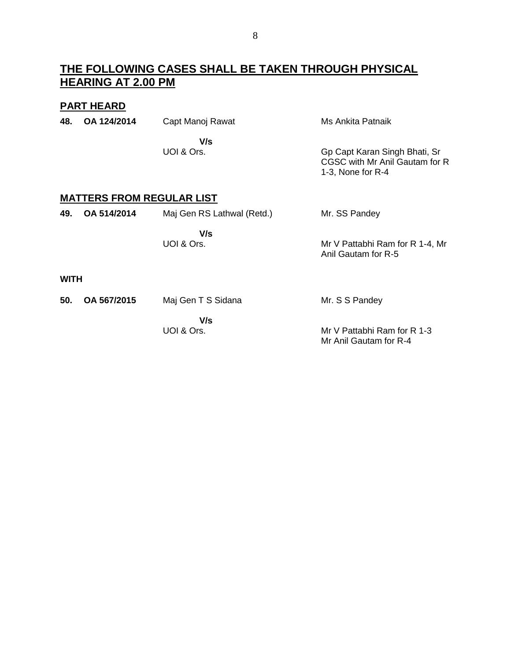# **THE FOLLOWING CASES SHALL BE TAKEN THROUGH PHYSICAL HEARING AT 2.00 PM**

## **PART HEARD**

| 48. | OA 124/2014                      | Capt Manoj Rawat | Ms Ankita Patnaik                                                                      |
|-----|----------------------------------|------------------|----------------------------------------------------------------------------------------|
|     |                                  | V/s              |                                                                                        |
|     |                                  | UOI & Ors.       | Gp Capt Karan Singh Bhati, Sr<br>CGSC with Mr Anil Gautam for R<br>1-3, None for $R-4$ |
|     | <b>MATTERS FROM REGULAR LIST</b> |                  |                                                                                        |

| 49.         | OA 514/2014 | Maj Gen RS Lathwal (Retd.) | Mr. SS Pandey                                          |
|-------------|-------------|----------------------------|--------------------------------------------------------|
|             |             | V/s<br>UOI & Ors.          | Mr V Pattabhi Ram for R 1-4, Mr<br>Anil Gautam for R-5 |
| <b>WITH</b> |             |                            |                                                        |

| 50. OA 567/2015 | Maj Gen T S Sidana | Mr. S S Pandey              |
|-----------------|--------------------|-----------------------------|
|                 | V/s                |                             |
|                 | UOI & Ors.         | Mr V Pattabhi Ram for R 1-3 |
|                 |                    | Mr Anil Gautam for R-4      |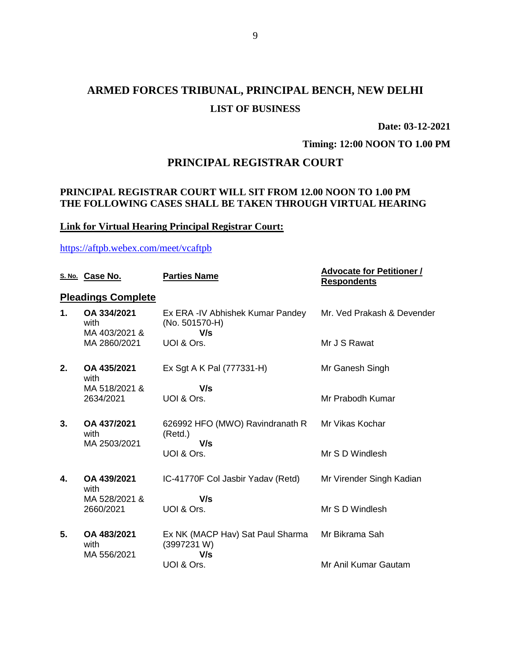# **ARMED FORCES TRIBUNAL, PRINCIPAL BENCH, NEW DELHI LIST OF BUSINESS**

**Date: 03-12-2021**

**Timing: 12:00 NOON TO 1.00 PM**

# **PRINCIPAL REGISTRAR COURT**

## **PRINCIPAL REGISTRAR COURT WILL SIT FROM 12.00 NOON TO 1.00 PM THE FOLLOWING CASES SHALL BE TAKEN THROUGH VIRTUAL HEARING**

## **Link for Virtual Hearing Principal Registrar Court:**

#### <https://aftpb.webex.com/meet/vcaftpb>

|              | S. No. Case No.                      | <b>Parties Name</b>                                       | <b>Advocate for Petitioner /</b><br><b>Respondents</b> |
|--------------|--------------------------------------|-----------------------------------------------------------|--------------------------------------------------------|
|              | <b>Pleadings Complete</b>            |                                                           |                                                        |
| 1.           | OA 334/2021<br>with<br>MA 403/2021 & | Ex ERA -IV Abhishek Kumar Pandey<br>(No. 501570-H)<br>V/s | Mr. Ved Prakash & Devender                             |
|              | MA 2860/2021                         | UOI & Ors.                                                | Mr J S Rawat                                           |
| 2.           | OA 435/2021<br>with                  | Ex Sgt A K Pal (777331-H)                                 | Mr Ganesh Singh                                        |
|              | MA 518/2021 &<br>2634/2021           | V/s<br>UOI & Ors.                                         | Mr Prabodh Kumar                                       |
|              |                                      |                                                           |                                                        |
| 3.           | OA 437/2021<br>with                  | 626992 HFO (MWO) Ravindranath R<br>(Retd.)                | Mr Vikas Kochar                                        |
|              | MA 2503/2021                         | V/s<br>UOI & Ors.                                         | Mr S D Windlesh                                        |
|              |                                      |                                                           |                                                        |
| $\mathbf{4}$ | OA 439/2021<br>with                  | IC-41770F Col Jasbir Yadav (Retd)                         | Mr Virender Singh Kadian                               |
|              | MA 528/2021 &                        | V/s                                                       |                                                        |
|              | 2660/2021                            | UOI & Ors.                                                | Mr S D Windlesh                                        |
| 5.           | OA 483/2021<br>with<br>MA 556/2021   | Ex NK (MACP Hav) Sat Paul Sharma<br>(3997231 W)<br>V/s    | Mr Bikrama Sah                                         |
|              |                                      | UOI & Ors.                                                | Mr Anil Kumar Gautam                                   |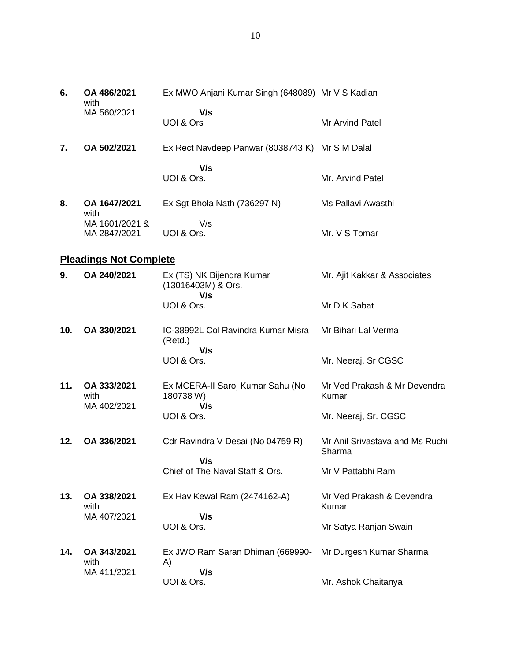| 6.  | OA 486/2021<br>with            | Ex MWO Anjani Kumar Singh (648089) Mr V S Kadian       |                                           |
|-----|--------------------------------|--------------------------------------------------------|-------------------------------------------|
|     | MA 560/2021                    | V/s<br>UOI & Ors                                       | Mr Arvind Patel                           |
| 7.  | OA 502/2021                    | Ex Rect Navdeep Panwar (8038743 K) Mr S M Dalal        |                                           |
|     |                                | V/s                                                    |                                           |
|     |                                | UOI & Ors.                                             | Mr. Arvind Patel                          |
| 8.  | OA 1647/2021<br>with           | Ex Sgt Bhola Nath (736297 N)                           | Ms Pallavi Awasthi                        |
|     | MA 1601/2021 &<br>MA 2847/2021 | V/s<br>UOI & Ors.                                      | Mr. V S Tomar                             |
|     | <b>Pleadings Not Complete</b>  |                                                        |                                           |
| 9.  | OA 240/2021                    | Ex (TS) NK Bijendra Kumar<br>(13016403M) & Ors.<br>V/s | Mr. Ajit Kakkar & Associates              |
|     |                                | UOI & Ors.                                             | Mr D K Sabat                              |
| 10. | OA 330/2021                    | IC-38992L Col Ravindra Kumar Misra<br>(Retd.)<br>V/s   | Mr Bihari Lal Verma                       |
|     |                                | UOI & Ors.                                             | Mr. Neeraj, Sr CGSC                       |
| 11. | OA 333/2021<br>with            | Ex MCERA-II Saroj Kumar Sahu (No<br>180738 W)<br>V/s   | Mr Ved Prakash & Mr Devendra<br>Kumar     |
|     | MA 402/2021                    | UOI & Ors.                                             | Mr. Neeraj, Sr. CGSC                      |
| 12. | OA 336/2021                    | Cdr Ravindra V Desai (No 04759 R)                      | Mr Anil Srivastava and Ms Ruchi<br>Sharma |
|     |                                | V/s<br>Chief of The Naval Staff & Ors.                 | Mr V Pattabhi Ram                         |
| 13. | OA 338/2021<br>with            | Ex Hav Kewal Ram (2474162-A)                           | Mr Ved Prakash & Devendra<br>Kumar        |
|     | MA 407/2021                    | V/s<br>UOI & Ors.                                      | Mr Satya Ranjan Swain                     |
| 14. | OA 343/2021<br>with            | Ex JWO Ram Saran Dhiman (669990-<br>A)                 | Mr Durgesh Kumar Sharma                   |
|     | MA 411/2021                    | V/s<br>UOI & Ors.                                      | Mr. Ashok Chaitanya                       |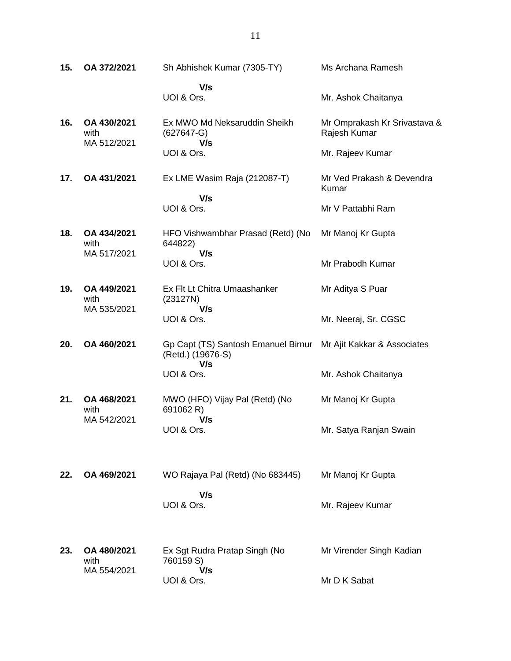| 15. | OA 372/2021                        | Sh Abhishek Kumar (7305-TY)                                     | Ms Archana Ramesh                            |
|-----|------------------------------------|-----------------------------------------------------------------|----------------------------------------------|
|     |                                    | V/s<br>UOI & Ors.                                               | Mr. Ashok Chaitanya                          |
| 16. | OA 430/2021<br>with<br>MA 512/2021 | Ex MWO Md Neksaruddin Sheikh<br>$(627647-G)$<br>V/s             | Mr Omprakash Kr Srivastava &<br>Rajesh Kumar |
|     |                                    | UOI & Ors.                                                      | Mr. Rajeev Kumar                             |
| 17. | OA 431/2021                        | Ex LME Wasim Raja (212087-T)                                    | Mr Ved Prakash & Devendra<br>Kumar           |
|     |                                    | V/s<br>UOI & Ors.                                               | Mr V Pattabhi Ram                            |
| 18. | OA 434/2021<br>with<br>MA 517/2021 | HFO Vishwambhar Prasad (Retd) (No<br>644822)<br>V/s             | Mr Manoj Kr Gupta                            |
|     |                                    | UOI & Ors.                                                      | Mr Prabodh Kumar                             |
| 19. | OA 449/2021<br>with<br>MA 535/2021 | Ex Flt Lt Chitra Umaashanker<br>(23127N)                        | Mr Aditya S Puar                             |
|     |                                    | V/s<br>UOI & Ors.                                               | Mr. Neeraj, Sr. CGSC                         |
| 20. | OA 460/2021                        | Gp Capt (TS) Santosh Emanuel Birnur<br>(Retd.) (19676-S)<br>V/s | Mr Ajit Kakkar & Associates                  |
|     |                                    | UOI & Ors.                                                      | Mr. Ashok Chaitanya                          |
| 21. | OA 468/2021<br>with<br>MA 542/2021 | MWO (HFO) Vijay Pal (Retd) (No<br>691062 R)                     | Mr Manoj Kr Gupta                            |
|     |                                    | V/s<br>UOI & Ors.                                               | Mr. Satya Ranjan Swain                       |
| 22. | OA 469/2021                        | WO Rajaya Pal (Retd) (No 683445)                                | Mr Manoj Kr Gupta                            |
|     |                                    | V/s<br>UOI & Ors.                                               | Mr. Rajeev Kumar                             |
| 23. | OA 480/2021<br>with<br>MA 554/2021 | Ex Sgt Rudra Pratap Singh (No<br>760159 S)                      | Mr Virender Singh Kadian                     |
|     |                                    | V/s<br>UOI & Ors.                                               | Mr D K Sabat                                 |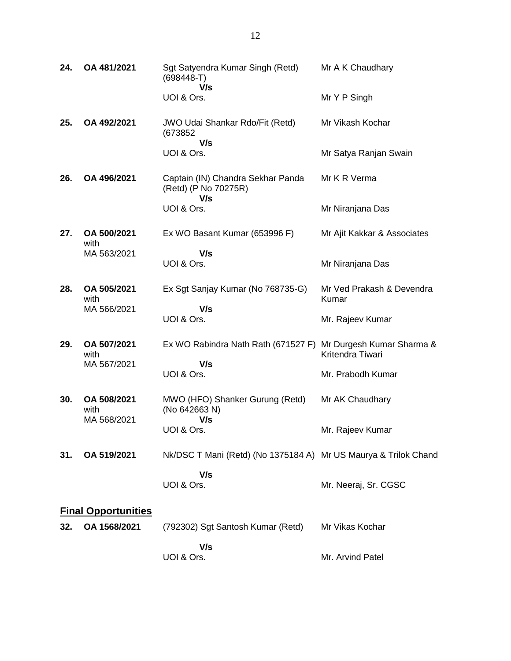| 24. | OA 481/2021                        | Sgt Satyendra Kumar Singh (Retd)<br>$(698448-T)$                 | Mr A K Chaudhary                              |
|-----|------------------------------------|------------------------------------------------------------------|-----------------------------------------------|
|     |                                    | V/s<br>UOI & Ors.                                                | Mr Y P Singh                                  |
| 25. | OA 492/2021                        | <b>JWO Udai Shankar Rdo/Fit (Retd)</b><br>(673852)<br>V/s        | Mr Vikash Kochar                              |
|     |                                    | UOI & Ors.                                                       | Mr Satya Ranjan Swain                         |
| 26. | OA 496/2021                        | Captain (IN) Chandra Sekhar Panda<br>(Retd) (P No 70275R)<br>V/s | Mr K R Verma                                  |
|     |                                    | UOI & Ors.                                                       | Mr Niranjana Das                              |
| 27. | OA 500/2021<br>with                | Ex WO Basant Kumar (653996 F)                                    | Mr Ajit Kakkar & Associates                   |
|     | MA 563/2021                        | V/s<br>UOI & Ors.                                                | Mr Niranjana Das                              |
| 28. | OA 505/2021<br>with<br>MA 566/2021 | Ex Sgt Sanjay Kumar (No 768735-G)                                | Mr Ved Prakash & Devendra<br>Kumar            |
|     |                                    | V/s<br>UOI & Ors.                                                | Mr. Rajeev Kumar                              |
| 29. | OA 507/2021<br>with<br>MA 567/2021 | Ex WO Rabindra Nath Rath (671527 F)                              | Mr Durgesh Kumar Sharma &<br>Kritendra Tiwari |
|     |                                    | V/s<br>UOI & Ors.                                                | Mr. Prabodh Kumar                             |
| 30. | OA 508/2021<br>with<br>MA 568/2021 | MWO (HFO) Shanker Gurung (Retd)<br>(No 642663 N)                 | Mr AK Chaudhary                               |
|     |                                    | V/s<br>UOI & Ors.                                                | Mr. Rajeev Kumar                              |
| 31. | OA 519/2021                        | Nk/DSC T Mani (Retd) (No 1375184 A) Mr US Maurya & Trilok Chand  |                                               |
|     |                                    | V/s<br>UOI & Ors.                                                | Mr. Neeraj, Sr. CGSC                          |
|     | <b>Final Opportunities</b>         |                                                                  |                                               |
| 32. | OA 1568/2021                       | (792302) Sgt Santosh Kumar (Retd)                                | Mr Vikas Kochar                               |
|     |                                    | V/s<br>UOI & Ors.                                                | Mr. Arvind Patel                              |